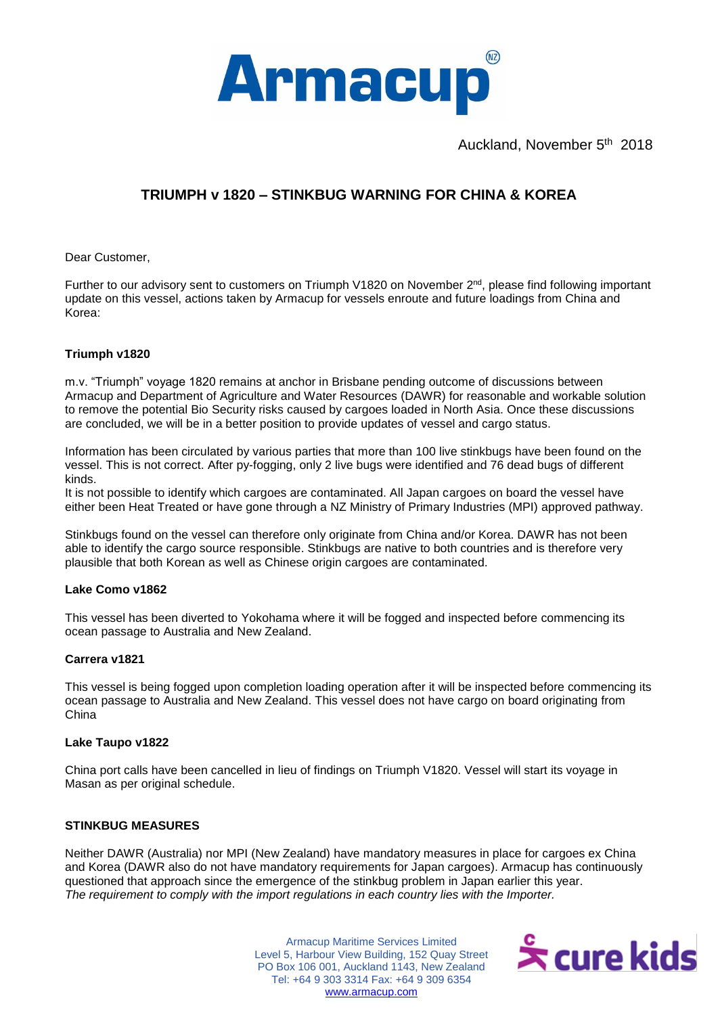

Auckland, November 5<sup>th</sup> 2018

# **TRIUMPH v 1820 – STINKBUG WARNING FOR CHINA & KOREA**

Dear Customer,

Further to our advisory sent to customers on Triumph V1820 on November 2<sup>nd</sup>, please find following important update on this vessel, actions taken by Armacup for vessels enroute and future loadings from China and Korea:

# **Triumph v1820**

m.v. "Triumph" voyage 1820 remains at anchor in Brisbane pending outcome of discussions between Armacup and Department of Agriculture and Water Resources (DAWR) for reasonable and workable solution to remove the potential Bio Security risks caused by cargoes loaded in North Asia. Once these discussions are concluded, we will be in a better position to provide updates of vessel and cargo status.

Information has been circulated by various parties that more than 100 live stinkbugs have been found on the vessel. This is not correct. After py-fogging, only 2 live bugs were identified and 76 dead bugs of different kinds.

It is not possible to identify which cargoes are contaminated. All Japan cargoes on board the vessel have either been Heat Treated or have gone through a NZ Ministry of Primary Industries (MPI) approved pathway.

Stinkbugs found on the vessel can therefore only originate from China and/or Korea. DAWR has not been able to identify the cargo source responsible. Stinkbugs are native to both countries and is therefore very plausible that both Korean as well as Chinese origin cargoes are contaminated.

### **Lake Como v1862**

This vessel has been diverted to Yokohama where it will be fogged and inspected before commencing its ocean passage to Australia and New Zealand.

### **Carrera v1821**

This vessel is being fogged upon completion loading operation after it will be inspected before commencing its ocean passage to Australia and New Zealand. This vessel does not have cargo on board originating from China

### **Lake Taupo v1822**

China port calls have been cancelled in lieu of findings on Triumph V1820. Vessel will start its voyage in Masan as per original schedule.

# **STINKBUG MEASURES**

Neither DAWR (Australia) nor MPI (New Zealand) have mandatory measures in place for cargoes ex China and Korea (DAWR also do not have mandatory requirements for Japan cargoes). Armacup has continuously questioned that approach since the emergence of the stinkbug problem in Japan earlier this year. *The requirement to comply with the import regulations in each country lies with the Importer.* 

> PO Box 106 001, Auckland 1143, New Zealand Armacup Maritime Services Limited Level 5, Harbour View Building, 152 Quay Street Tel: +64 9 303 3314 Fax: +64 9 309 6354 [www.armacup.com](http://www.armacup.com/)